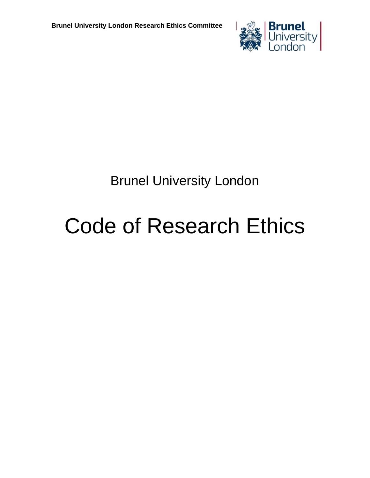

# Brunel University London

# Code of Research Ethics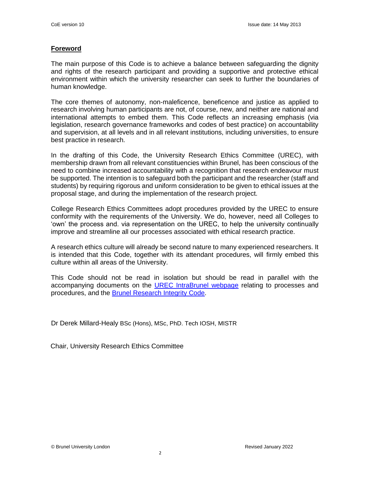# **Foreword**

The main purpose of this Code is to achieve a balance between safeguarding the dignity and rights of the research participant and providing a supportive and protective ethical environment within which the university researcher can seek to further the boundaries of human knowledge.

The core themes of autonomy, non-maleficence, beneficence and justice as applied to research involving human participants are not, of course, new, and neither are national and international attempts to embed them. This Code reflects an increasing emphasis (via legislation, research governance frameworks and codes of best practice) on accountability and supervision, at all levels and in all relevant institutions, including universities, to ensure best practice in research.

In the drafting of this Code, the University Research Ethics Committee (UREC), with membership drawn from all relevant constituencies within Brunel, has been conscious of the need to combine increased accountability with a recognition that research endeavour must be supported. The intention is to safeguard both the participant and the researcher (staff and students) by requiring rigorous and uniform consideration to be given to ethical issues at the proposal stage, and during the implementation of the research project.

College Research Ethics Committees adopt procedures provided by the UREC to ensure conformity with the requirements of the University. We do, however, need all Colleges to 'own' the process and. via representation on the UREC, to help the university continually improve and streamline all our processes associated with ethical research practice.

A research ethics culture will already be second nature to many experienced researchers. It is intended that this Code, together with its attendant procedures, will firmly embed this culture within all areas of the University.

This Code should not be read in isolation but should be read in parallel with the accompanying documents on the [UREC IntraBrunel](https://intra.brunel.ac.uk/m/UREC/default.aspx) webpage relating to processes and procedures, and the [Brunel Research Integrity](http://www.brunel.ac.uk/__data/assets/pdf_file/0007/384235/research-integrity-code.pdf) Code.

Dr Derek Millard-Healy BSc (Hons), MSc, PhD. Tech IOSH, MISTR

Chair, University Research Ethics Committee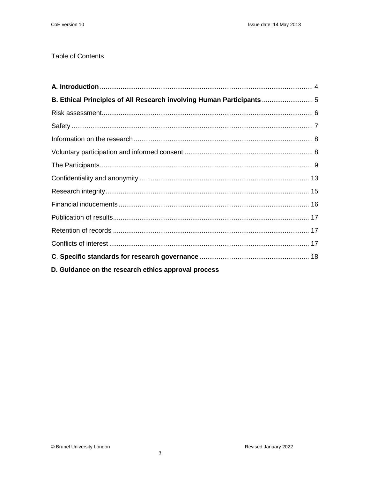# **Table of Contents**

| B. Ethical Principles of All Research involving Human Participants |  |
|--------------------------------------------------------------------|--|
|                                                                    |  |
|                                                                    |  |
|                                                                    |  |
|                                                                    |  |
|                                                                    |  |
|                                                                    |  |
|                                                                    |  |
|                                                                    |  |
|                                                                    |  |
|                                                                    |  |
|                                                                    |  |
|                                                                    |  |
| D. Guidance on the research ethics approval process                |  |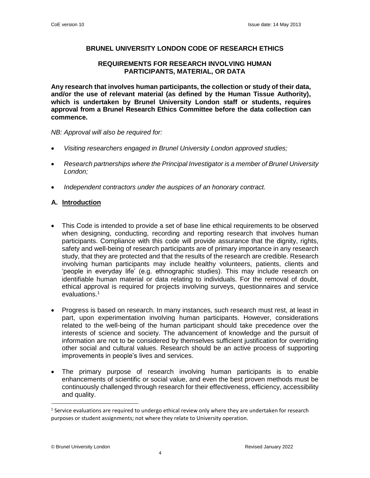# **BRUNEL UNIVERSITY LONDON CODE OF RESEARCH ETHICS**

# **REQUIREMENTS FOR RESEARCH INVOLVING HUMAN PARTICIPANTS, MATERIAL, OR DATA**

**Any research that involves human participants, the collection or study of their data, and/or the use of relevant material (as defined by the Human Tissue Authority), which is undertaken by Brunel University London staff or students, requires approval from a Brunel Research Ethics Committee before the data collection can commence.**

*NB: Approval will also be required for:*

- *Visiting researchers engaged in Brunel University London approved studies;*
- *Research partnerships where the Principal Investigator is a member of Brunel University London;*
- *Independent contractors under the auspices of an honorary contract.*

# <span id="page-3-0"></span>**A. Introduction**

- This Code is intended to provide a set of base line ethical requirements to be observed when designing, conducting, recording and reporting research that involves human participants. Compliance with this code will provide assurance that the dignity, rights, safety and well-being of research participants are of primary importance in any research study, that they are protected and that the results of the research are credible. Research involving human participants may include healthy volunteers, patients, clients and 'people in everyday life' (e.g. ethnographic studies). This may include research on identifiable human material or data relating to individuals. For the removal of doubt, ethical approval is required for projects involving surveys, questionnaires and service evaluations.<sup>1</sup>
- Progress is based on research. In many instances, such research must rest, at least in part, upon experimentation involving human participants. However, considerations related to the well-being of the human participant should take precedence over the interests of science and society. The advancement of knowledge and the pursuit of information are not to be considered by themselves sufficient justification for overriding other social and cultural values. Research should be an active process of supporting improvements in people's lives and services.
- The primary purpose of research involving human participants is to enable enhancements of scientific or social value, and even the best proven methods must be continuously challenged through research for their effectiveness, efficiency, accessibility and quality.

 $\overline{a}$ 

<sup>&</sup>lt;sup>1</sup> Service evaluations are required to undergo ethical review only where they are undertaken for research purposes or student assignments; not where they relate to University operation.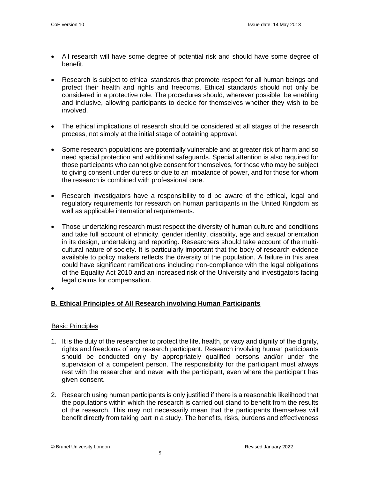- All research will have some degree of potential risk and should have some degree of benefit.
- Research is subject to ethical standards that promote respect for all human beings and protect their health and rights and freedoms. Ethical standards should not only be considered in a protective role. The procedures should, wherever possible, be enabling and inclusive, allowing participants to decide for themselves whether they wish to be involved.
- The ethical implications of research should be considered at all stages of the research process, not simply at the initial stage of obtaining approval.
- Some research populations are potentially vulnerable and at greater risk of harm and so need special protection and additional safeguards. Special attention is also required for those participants who cannot give consent for themselves, for those who may be subject to giving consent under duress or due to an imbalance of power, and for those for whom the research is combined with professional care.
- Research investigators have a responsibility to d be aware of the ethical, legal and regulatory requirements for research on human participants in the United Kingdom as well as applicable international requirements.
- Those undertaking research must respect the diversity of human culture and conditions and take full account of ethnicity, gender identity, disability, age and sexual orientation in its design, undertaking and reporting. Researchers should take account of the multicultural nature of society. It is particularly important that the body of research evidence available to policy makers reflects the diversity of the population. A failure in this area could have significant ramifications including non-compliance with the legal obligations of the Equality Act 2010 and an increased risk of the University and investigators facing legal claims for compensation.
- •

# <span id="page-4-0"></span>**B. Ethical Principles of All Research involving Human Participants**

# Basic Principles

- 1. It is the duty of the researcher to protect the life, health, privacy and dignity of the dignity, rights and freedoms of any research participant. Research involving human participants should be conducted only by appropriately qualified persons and/or under the supervision of a competent person. The responsibility for the participant must always rest with the researcher and never with the participant, even where the participant has given consent.
- 2. Research using human participants is only justified if there is a reasonable likelihood that the populations within which the research is carried out stand to benefit from the results of the research. This may not necessarily mean that the participants themselves will benefit directly from taking part in a study. The benefits, risks, burdens and effectiveness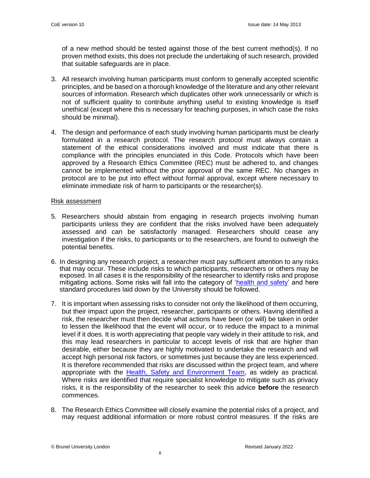of a new method should be tested against those of the best current method(s). If no proven method exists, this does not preclude the undertaking of such research, provided that suitable safeguards are in place.

- 3. All research involving human participants must conform to generally accepted scientific principles, and be based on a thorough knowledge of the literature and any other relevant sources of information. Research which duplicates other work unnecessarily or which is not of sufficient quality to contribute anything useful to existing knowledge is itself unethical (except where this is necessary for teaching purposes, in which case the risks should be minimal).
- 4. The design and performance of each study involving human participants must be clearly formulated in a research protocol. The research protocol must always contain a statement of the ethical considerations involved and must indicate that there is compliance with the principles enunciated in this Code. Protocols which have been approved by a Research Ethics Committee (REC) must be adhered to, and changes cannot be implemented without the prior approval of the same REC. No changes in protocol are to be put into effect without formal approval, except where necessary to eliminate immediate risk of harm to participants or the researcher(s).

#### <span id="page-5-0"></span>Risk assessment

- 5. Researchers should abstain from engaging in research projects involving human participants unless they are confident that the risks involved have been adequately assessed and can be satisfactorily managed. Researchers should cease any investigation if the risks, to participants or to the researchers, are found to outweigh the potential benefits.
- 6. In designing any research project, a researcher must pay sufficient attention to any risks that may occur. These include risks to which participants, researchers or others may be exposed. In all cases it is the responsibility of the researcher to identify risks and propose mitigating actions. Some risks will fall into the category of ['health and safety'](https://intra.brunel.ac.uk/safety/Pages/default.aspx) and here standard procedures laid down by the University should be followed.
- 7. It is important when assessing risks to consider not only the likelihood of them occurring, but their impact upon the project, researcher, participants or others. Having identified a risk, the researcher must then decide what actions have been (or will) be taken in order to lessen the likelihood that the event will occur, or to reduce the impact to a minimal level if it does. It is worth appreciating that people vary widely in their attitude to risk, and this may lead researchers in particular to accept levels of risk that are higher than desirable, either because they are highly motivated to undertake the research and will accept high personal risk factors, or sometimes just because they are less experienced. It is therefore recommended that risks are discussed within the project team, and where appropriate with the [Health, Safety and Environment Team,](https://intra.brunel.ac.uk/safety/Pages/default.aspx) as widely as practical. Where risks are identified that require specialist knowledge to mitigate such as privacy risks, it is the responsibility of the researcher to seek this advice **before** the research commences.
- 8. The Research Ethics Committee will closely examine the potential risks of a project, and may request additional information or more robust control measures. If the risks are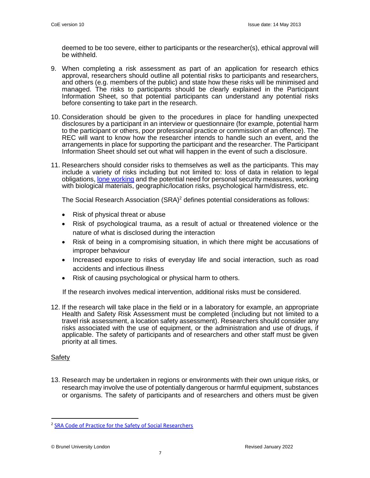deemed to be too severe, either to participants or the researcher(s), ethical approval will be withheld.

- 9. When completing a risk assessment as part of an application for research ethics approval, researchers should outline all potential risks to participants and researchers, and others (e.g. members of the public) and state how these risks will be minimised and managed. The risks to participants should be clearly explained in the Participant Information Sheet, so that potential participants can understand any potential risks before consenting to take part in the research.
- 10. Consideration should be given to the procedures in place for handling unexpected disclosures by a participant in an interview or questionnaire (for example, potential harm to the participant or others, poor professional practice or commission of an offence). The REC will want to know how the researcher intends to handle such an event, and the arrangements in place for supporting the participant and the researcher. The Participant Information Sheet should set out what will happen in the event of such a disclosure.
- 11. Researchers should consider risks to themselves as well as the participants. This may include a variety of risks including but not limited to: loss of data in relation to legal obligations[, lone working](https://intra.brunel.ac.uk/safety/policiesandguidance/_layouts/15/WopiFrame.aspx?sourcedoc=%7bD62F908A-23C7-4A67-BD82-41B5290325B1%7d&file=Lone%20Working_%202019.pdf&action=default) and the potential need for personal security measures, working with biological materials, geographic/location risks, psychological harm/distress, etc.

The Social Research Association  $(SRA)^2$  defines potential considerations as follows:

- Risk of physical threat or abuse
- Risk of psychological trauma, as a result of actual or threatened violence or the nature of what is disclosed during the interaction
- Risk of being in a compromising situation, in which there might be accusations of improper behaviour
- Increased exposure to risks of everyday life and social interaction, such as road accidents and infectious illness
- Risk of causing psychological or physical harm to others.

If the research involves medical intervention, additional risks must be considered.

12. If the research will take place in the field or in a laboratory for example, an appropriate Health and Safety Risk Assessment must be completed (including but not limited to a travel risk assessment, a location safety assessment). Researchers should consider any risks associated with the use of equipment, or the administration and use of drugs, if applicable. The safety of participants and of researchers and other staff must be given priority at all times.

#### <span id="page-6-0"></span>Safety

 $\overline{a}$ 

13. Research may be undertaken in regions or environments with their own unique risks, or research may involve the use of potentially dangerous or harmful equipment, substances or organisms. The safety of participants and of researchers and others must be given

<sup>&</sup>lt;sup>2</sup> [SRA Code of Practice for the Safety of Social Researchers](https://the-sra.org.uk/common/Uploaded%20files/SRA-safety-code-of-practice.pdf)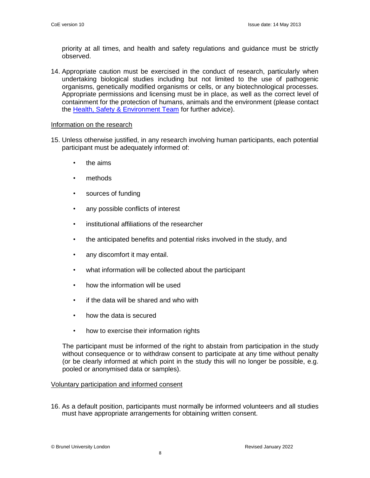priority at all times, and health and safety regulations and guidance must be strictly observed.

14. Appropriate caution must be exercised in the conduct of research, particularly when undertaking biological studies including but not limited to the use of pathogenic organisms, genetically modified organisms or cells, or any biotechnological processes. Appropriate permissions and licensing must be in place, as well as the correct level of containment for the protection of humans, animals and the environment (please contact the [Health, Safety & Environment Team](https://intra.brunel.ac.uk/safety/Pages/default.aspx) for further advice).

#### <span id="page-7-0"></span>Information on the research

- 15. Unless otherwise justified, in any research involving human participants, each potential participant must be adequately informed of:
	- the aims
	- methods
	- sources of funding
	- any possible conflicts of interest
	- institutional affiliations of the researcher
	- the anticipated benefits and potential risks involved in the study, and
	- any discomfort it may entail.
	- what information will be collected about the participant
	- how the information will be used
	- if the data will be shared and who with
	- how the data is secured
	- how to exercise their information rights

The participant must be informed of the right to abstain from participation in the study without consequence or to withdraw consent to participate at any time without penalty (or be clearly informed at which point in the study this will no longer be possible, e.g. pooled or anonymised data or samples).

# <span id="page-7-1"></span>Voluntary participation and informed consent

16. As a default position, participants must normally be informed volunteers and all studies must have appropriate arrangements for obtaining written consent.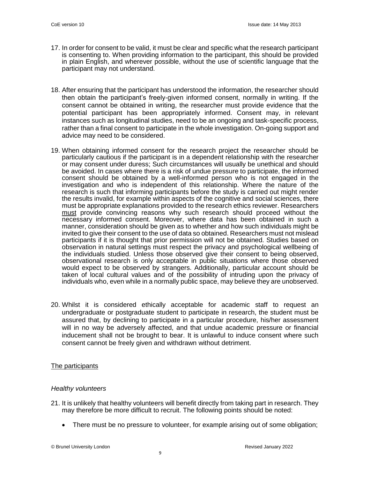- 17. In order for consent to be valid, it must be clear and specific what the research participant is consenting to. When providing information to the participant, this should be provided in plain English, and wherever possible, without the use of scientific language that the participant may not understand.
- 18. After ensuring that the participant has understood the information, the researcher should then obtain the participant's freely-given informed consent, normally in writing. If the consent cannot be obtained in writing, the researcher must provide evidence that the potential participant has been appropriately informed. Consent may, in relevant instances such as longitudinal studies, need to be an ongoing and task-specific process, rather than a final consent to participate in the whole investigation. On-going support and advice may need to be considered.
- 19. When obtaining informed consent for the research project the researcher should be particularly cautious if the participant is in a dependent relationship with the researcher or may consent under duress; Such circumstances will usually be unethical and should be avoided. In cases where there is a risk of undue pressure to participate, the informed consent should be obtained by a well-informed person who is not engaged in the investigation and who is independent of this relationship. Where the nature of the research is such that informing participants before the study is carried out might render the results invalid, for example within aspects of the cognitive and social sciences, there must be appropriate explanations provided to the research ethics reviewer. Researchers must provide convincing reasons why such research should proceed without the necessary informed consent. Moreover, where data has been obtained in such a manner, consideration should be given as to whether and how such individuals might be invited to give their consent to the use of data so obtained. Researchers must not mislead participants if it is thought that prior permission will not be obtained. Studies based on observation in natural settings must respect the privacy and psychological wellbeing of the individuals studied. Unless those observed give their consent to being observed, observational research is only acceptable in public situations where those observed would expect to be observed by strangers. Additionally, particular account should be taken of local cultural values and of the possibility of intruding upon the privacy of individuals who, even while in a normally public space, may believe they are unobserved.
- 20. Whilst it is considered ethically acceptable for academic staff to request an undergraduate or postgraduate student to participate in research, the student must be assured that, by declining to participate in a particular procedure, his/her assessment will in no way be adversely affected, and that undue academic pressure or financial inducement shall not be brought to bear. It is unlawful to induce consent where such consent cannot be freely given and withdrawn without detriment.

# <span id="page-8-0"></span>The participants

# *Healthy volunteers*

- 21. It is unlikely that healthy volunteers will benefit directly from taking part in research. They may therefore be more difficult to recruit. The following points should be noted:
	- There must be no pressure to volunteer, for example arising out of some obligation;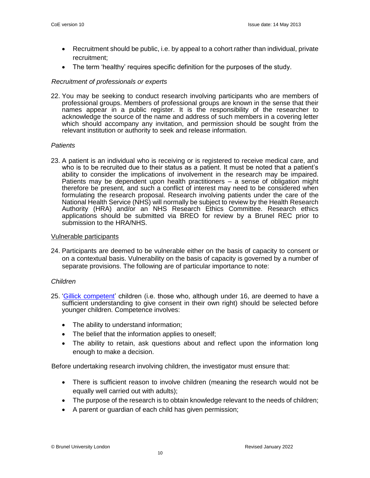- Recruitment should be public, i.e. by appeal to a cohort rather than individual, private recruitment;
- The term 'healthy' requires specific definition for the purposes of the study.

#### *Recruitment of professionals or experts*

22. You may be seeking to conduct research involving participants who are members of professional groups. Members of professional groups are known in the sense that their names appear in a public register. It is the responsibility of the researcher to acknowledge the source of the name and address of such members in a covering letter which should accompany any invitation, and permission should be sought from the relevant institution or authority to seek and release information.

#### *Patients*

23. A patient is an individual who is receiving or is registered to receive medical care, and who is to be recruited due to their status as a patient. It must be noted that a patient's ability to consider the implications of involvement in the research may be impaired. Patients may be dependent upon health practitioners – a sense of obligation might therefore be present, and such a conflict of interest may need to be considered when formulating the research proposal. Research involving patients under the care of the National Health Service (NHS) will normally be subject to review by the Health Research Authority (HRA) and/or an NHS Research Ethics Committee. Research ethics applications should be submitted via BREO for review by a Brunel REC prior to submission to the HRA/NHS.

#### Vulnerable participants

24. Participants are deemed to be vulnerable either on the basis of capacity to consent or on a contextual basis. Vulnerability on the basis of capacity is governed by a number of separate provisions. The following are of particular importance to note:

#### *Children*

- 25. ['Gillick competent'](https://www.nspcc.org.uk/preventing-abuse/child-protection-system/legal-definition-child-rights-law/gillick-competency-fraser-guidelines/) children (i.e. those who, although under 16, are deemed to have a sufficient understanding to give consent in their own right) should be selected before younger children. Competence involves:
	- The ability to understand information;
	- The belief that the information applies to oneself;
	- The ability to retain, ask questions about and reflect upon the information long enough to make a decision.

Before undertaking research involving children, the investigator must ensure that:

- There is sufficient reason to involve children (meaning the research would not be equally well carried out with adults);
- The purpose of the research is to obtain knowledge relevant to the needs of children;
- A parent or guardian of each child has given permission;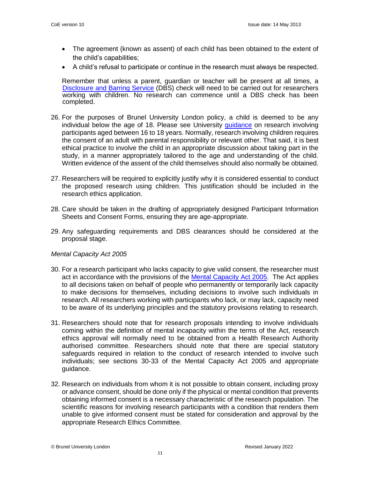- The agreement (known as assent) of each child has been obtained to the extent of the child's capabilities;
- A child's refusal to participate or continue in the research must always be respected.

Remember that unless a parent, guardian or teacher will be present at all times, a [Disclosure and Barring Service](http://www.brunel.ac.uk/study/admissions/professional-course-requirements/Disclosure-and-Barring-Service-DBS) (DBS) check will need to be carried out for researchers working with children. No research can commence until a DBS check has been completed.

- 26. For the purposes of Brunel University London policy, a child is deemed to be any individual below the age of 18. Please see University [guidance](https://intra.brunel.ac.uk/m/UREC/_layouts/15/WopiFrame.aspx?sourcedoc=/m/UREC/Forms%20Policies%20and%20Procedures/Policies/Definition%20of%20a%20child.pdf&action=default) on research involving participants aged between 16 to 18 years. Normally, research involving children requires the consent of an adult with parental responsibility or relevant other. That said, it is best ethical practice to involve the child in an appropriate discussion about taking part in the study, in a manner appropriately tailored to the age and understanding of the child. Written evidence of the assent of the child themselves should also normally be obtained.
- 27. Researchers will be required to explicitly justify why it is considered essential to conduct the proposed research using children. This justification should be included in the research ethics application.
- 28. Care should be taken in the drafting of appropriately designed Participant Information Sheets and Consent Forms, ensuring they are age-appropriate.
- 29. Any safeguarding requirements and DBS clearances should be considered at the proposal stage.

#### *Mental Capacity Act 2005*

- 30. For a research participant who lacks capacity to give valid consent, the researcher must act in accordance with the provisions of the [Mental Capacity Act 2005.](https://www.legislation.gov.uk/ukpga/2005/9/contents) The Act applies to all decisions taken on behalf of people who permanently or temporarily lack capacity to make decisions for themselves, including decisions to involve such individuals in research. All researchers working with participants who lack, or may lack, capacity need to be aware of its underlying principles and the statutory provisions relating to research.
- 31. Researchers should note that for research proposals intending to involve individuals coming within the definition of mental incapacity within the terms of the Act, research ethics approval will normally need to be obtained from a Health Research Authority authorised committee. Researchers should note that there are special statutory safeguards required in relation to the conduct of research intended to involve such individuals; see sections 30-33 of the Mental Capacity Act 2005 and appropriate guidance.
- 32. Research on individuals from whom it is not possible to obtain consent, including proxy or advance consent, should be done only if the physical or mental condition that prevents obtaining informed consent is a necessary characteristic of the research population. The scientific reasons for involving research participants with a condition that renders them unable to give informed consent must be stated for consideration and approval by the appropriate Research Ethics Committee.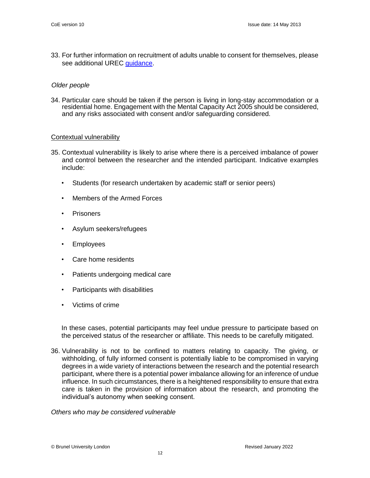33. For further information on recruitment of adults unable to consent for themselves, please see additional UREC [guidance.](https://intra.brunel.ac.uk/m/UREC/_layouts/15/WopiFrame.aspx?sourcedoc=%7b76B3EBEC-EAF4-422E-AF8F-3E613023050B%7d&file=Adults%20unable%20to%20consent%20for%20themselves.pdf&action=default)

#### *Older people*

34. Particular care should be taken if the person is living in long-stay accommodation or a residential home. Engagement with the Mental Capacity Act 2005 should be considered, and any risks associated with consent and/or safeguarding considered.

#### Contextual vulnerability

- 35. Contextual vulnerability is likely to arise where there is a perceived imbalance of power and control between the researcher and the intended participant. Indicative examples include:
	- Students (for research undertaken by academic staff or senior peers)
	- Members of the Armed Forces
	- **Prisoners**
	- Asylum seekers/refugees
	- **Employees**
	- Care home residents
	- Patients undergoing medical care
	- Participants with disabilities
	- Victims of crime

In these cases, potential participants may feel undue pressure to participate based on the perceived status of the researcher or affiliate. This needs to be carefully mitigated.

36. Vulnerability is not to be confined to matters relating to capacity. The giving, or withholding, of fully informed consent is potentially liable to be compromised in varying degrees in a wide variety of interactions between the research and the potential research participant, where there is a potential power imbalance allowing for an inference of undue influence. In such circumstances, there is a heightened responsibility to ensure that extra care is taken in the provision of information about the research, and promoting the individual's autonomy when seeking consent.

*Others who may be considered vulnerable*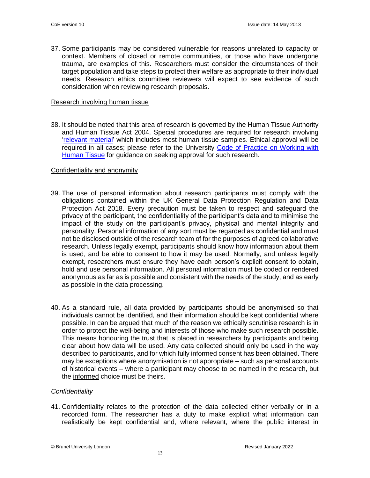37. Some participants may be considered vulnerable for reasons unrelated to capacity or context. Members of closed or remote communities, or those who have undergone trauma, are examples of this. Researchers must consider the circumstances of their target population and take steps to protect their welfare as appropriate to their individual needs. Research ethics committee reviewers will expect to see evidence of such consideration when reviewing research proposals.

#### Research involving human tissue

38. It should be noted that this area of research is governed by the Human Tissue Authority and Human Tissue Act 2004. Special procedures are required for research involving ['relevant material'](https://intra.brunel.ac.uk/safety/PublishingImages/Pages/Human-Tissue-Authority/List_of_materials_considered_to_be_relevant_material_under_the_Human_Tissue_Act_2004.pdf) which includes most human tissue samples. Ethical approval will be required in all cases; please refer to the University [Code of Practice on Working with](https://intra.brunel.ac.uk/safety/Human%20Tissue/_layouts/15/WopiFrame.aspx?sourcedoc=%7bCC0855F8-9C20-41D9-B81C-A87B44119606%7d&file=BUL%20COP%20-%20working%20with%20Human%20Tissue%20Samples%20-%202020.docx&action=default&DefaultItemOpen=1)  [Human Tissue](https://intra.brunel.ac.uk/safety/Human%20Tissue/_layouts/15/WopiFrame.aspx?sourcedoc=%7bCC0855F8-9C20-41D9-B81C-A87B44119606%7d&file=BUL%20COP%20-%20working%20with%20Human%20Tissue%20Samples%20-%202020.docx&action=default&DefaultItemOpen=1) for guidance on seeking approval for such research.

# <span id="page-12-0"></span>Confidentiality and anonymity

- 39. The use of personal information about research participants must comply with the obligations contained within the UK General Data Protection Regulation and Data Protection Act 2018. Every precaution must be taken to respect and safeguard the privacy of the participant, the confidentiality of the participant's data and to minimise the impact of the study on the participant's privacy, physical and mental integrity and personality. Personal information of any sort must be regarded as confidential and must not be disclosed outside of the research team of for the purposes of agreed collaborative research. Unless legally exempt, participants should know how information about them is used, and be able to consent to how it may be used. Normally, and unless legally exempt, researchers must ensure they have each person's explicit consent to obtain, hold and use personal information. All personal information must be coded or rendered anonymous as far as is possible and consistent with the needs of the study, and as early as possible in the data processing.
- 40. As a standard rule, all data provided by participants should be anonymised so that individuals cannot be identified, and their information should be kept confidential where possible. In can be argued that much of the reason we ethically scrutinise research is in order to protect the well-being and interests of those who make such research possible. This means honouring the trust that is placed in researchers by participants and being clear about how data will be used. Any data collected should only be used in the way described to participants, and for which fully informed consent has been obtained. There may be exceptions where anonymisation is not appropriate – such as personal accounts of historical events – where a participant may choose to be named in the research, but the informed choice must be theirs.

#### *Confidentiality*

41. Confidentiality relates to the protection of the data collected either verbally or in a recorded form. The researcher has a duty to make explicit what information can realistically be kept confidential and, where relevant, where the public interest in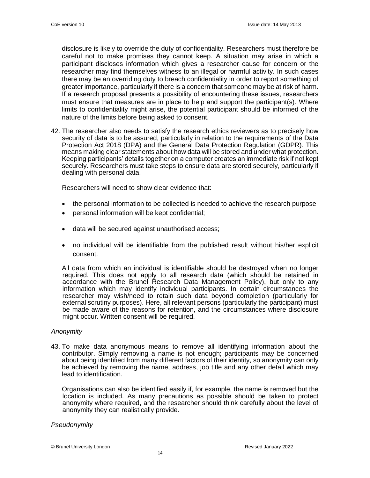disclosure is likely to override the duty of confidentiality. Researchers must therefore be careful not to make promises they cannot keep. A situation may arise in which a participant discloses information which gives a researcher cause for concern or the researcher may find themselves witness to an illegal or harmful activity. In such cases there may be an overriding duty to breach confidentiality in order to report something of greater importance, particularly if there is a concern that someone may be at risk of harm. If a research proposal presents a possibility of encountering these issues, researchers must ensure that measures are in place to help and support the participant(s). Where limits to confidentiality might arise, the potential participant should be informed of the nature of the limits before being asked to consent.

42. The researcher also needs to satisfy the research ethics reviewers as to precisely how security of data is to be assured, particularly in relation to the requirements of the Data Protection Act 2018 (DPA) and the General Data Protection Regulation (GDPR). This means making clear statements about how data will be stored and under what protection. Keeping participants' details together on a computer creates an immediate risk if not kept securely. Researchers must take steps to ensure data are stored securely, particularly if dealing with personal data.

Researchers will need to show clear evidence that:

- the personal information to be collected is needed to achieve the research purpose
- personal information will be kept confidential;
- data will be secured against unauthorised access;
- no individual will be identifiable from the published result without his/her explicit consent.

All data from which an individual is identifiable should be destroyed when no longer required. This does not apply to all research data (which should be retained in accordance with the Brunel Research Data Management Policy), but only to any information which may identify individual participants. In certain circumstances the researcher may wish/need to retain such data beyond completion (particularly for external scrutiny purposes). Here, all relevant persons (particularly the participant) must be made aware of the reasons for retention, and the circumstances where disclosure might occur. Written consent will be required.

#### *Anonymity*

43. To make data anonymous means to remove all identifying information about the contributor. Simply removing a name is not enough; participants may be concerned about being identified from many different factors of their identity, so anonymity can only be achieved by removing the name, address, job title and any other detail which may lead to identification.

Organisations can also be identified easily if, for example, the name is removed but the location is included. As many precautions as possible should be taken to protect anonymity where required, and the researcher should think carefully about the level of anonymity they can realistically provide.

#### *Pseudonymity*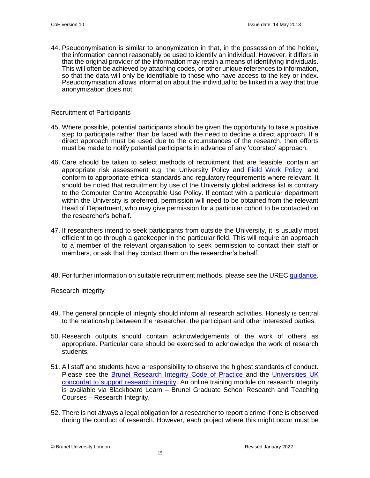44. Pseudonymisation is similar to anonymization in that, in the possession of the holder, the information cannot reasonably be used to identify an individual. However, it differs in that the original provider of the information may retain a means of identifying individuals. This will often be achieved by attaching codes, or other unique references to information, so that the data will only be identifiable to those who have access to the key or index. Pseudonymisation allows information about the individual to be linked in a way that true anonymization does not.

#### Recruitment of Participants

- 45. Where possible, potential participants should be given the opportunity to take a positive step to participate rather than be faced with the need to decline a direct approach. If a direct approach must be used due to the circumstances of the research, then efforts must be made to notify potential participants in advance of any 'doorstep' approach.
- 46. Care should be taken to select methods of recruitment that are feasible, contain an appropriate risk assessment e.g. the University Policy and [Field Work Policy,](https://intra.brunel.ac.uk/safety/policiesandguidance/_layouts/15/WopiFrame.aspx?sourcedoc=%7b4DD9B5D5-A9CC-4ACD-94A9-A6F534BF6C45%7d&file=Fieldwork_2018.doc&action=default) and conform to appropriate ethical standards and regulatory requirements where relevant. It should be noted that recruitment by use of the University global address list is contrary to the Computer Centre Acceptable Use Policy. If contact with a particular department within the University is preferred, permission will need to be obtained from the relevant Head of Department, who may give permission for a particular cohort to be contacted on the researcher's behalf.
- 47. If researchers intend to seek participants from outside the University, it is usually most efficient to go through a gatekeeper in the particular field. This will require an approach to a member of the relevant organisation to seek permission to contact their staff or members, or ask that they contact them on the researcher's behalf.
- 48. For further information on suitable recruitment methods, please see the UREC [guidance.](https://intra.brunel.ac.uk/m/UREC/_layouts/15/WopiFrame.aspx?sourcedoc=%7b40510EA3-7032-4B09-919F-9FCE1883D292%7d&file=Recruitment.pdf&action=default)

#### <span id="page-14-0"></span>Research integrity

- 49. The general principle of integrity should inform all research activities. Honesty is central to the relationship between the researcher, the participant and other interested parties.
- 50. Research outputs should contain acknowledgements of the work of others as appropriate. Particular care should be exercised to acknowledge the work of research students.
- 51. All staff and students have a responsibility to observe the highest standards of conduct. Please see the [Brunel Research Integrity Code of Practice](https://students.brunel.ac.uk/documents/Policies/2019-20/Research-Integrity-Code-of-Practice-2019.pdf) and the [Universities UK](http://www.universitiesuk.ac.uk/policy-and-analysis/reports/Documents/2012/the-concordat-to-support-research-integrity.pdf)  [concordat to support research integrity.](http://www.universitiesuk.ac.uk/policy-and-analysis/reports/Documents/2012/the-concordat-to-support-research-integrity.pdf) An online training module on research integrity is available via Blackboard Learn – Brunel Graduate School Research and Teaching Courses – Research Integrity.
- 52. There is not always a legal obligation for a researcher to report a crime if one is observed during the conduct of research. However, each project where this might occur must be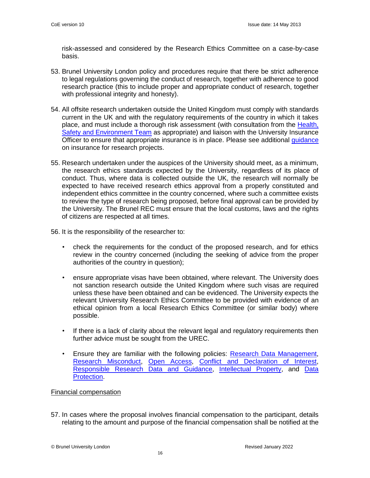risk-assessed and considered by the Research Ethics Committee on a case-by-case basis.

- 53. Brunel University London policy and procedures require that there be strict adherence to legal regulations governing the conduct of research, together with adherence to good research practice (this to include proper and appropriate conduct of research, together with professional integrity and honesty).
- 54. All offsite research undertaken outside the United Kingdom must comply with standards current in the UK and with the regulatory requirements of the country in which it takes place, and must include a thorough risk assessment (with consultation from the [Health,](https://intra.brunel.ac.uk/safety/Pages/default.aspx)  [Safety and Environment Team](https://intra.brunel.ac.uk/safety/Pages/default.aspx) as appropriate) and liaison with the University Insurance Officer to ensure that appropriate insurance is in place. Please see additional [guidance](https://intra.brunel.ac.uk/m/UREC/_layouts/15/WopiFrame.aspx?sourcedoc=%7b5BD84200-61A6-406F-86BA-4EA107EFF8A6%7d&file=Insurance%20for%20research.pdf&action=default) on insurance for research projects.
- 55. Research undertaken under the auspices of the University should meet, as a minimum, the research ethics standards expected by the University, regardless of its place of conduct. Thus, where data is collected outside the UK, the research will normally be expected to have received research ethics approval from a properly constituted and independent ethics committee in the country concerned, where such a committee exists to review the type of research being proposed, before final approval can be provided by the University. The Brunel REC must ensure that the local customs, laws and the rights of citizens are respected at all times.

56. It is the responsibility of the researcher to:

- check the requirements for the conduct of the proposed research, and for ethics review in the country concerned (including the seeking of advice from the proper authorities of the country in question);
- ensure appropriate visas have been obtained, where relevant. The University does not sanction research outside the United Kingdom where such visas are required unless these have been obtained and can be evidenced. The University expects the relevant University Research Ethics Committee to be provided with evidence of an ethical opinion from a local Research Ethics Committee (or similar body) where possible.
- If there is a lack of clarity about the relevant legal and regulatory requirements then further advice must be sought from the UREC.
- Ensure they are familiar with the following policies: [Research Data Management,](http://www.brunel.ac.uk/about/documents/pdf/RDM-Policy.pdf) [Research Misconduct,](http://www.brunel.ac.uk/about/documents/pdf/co18.pdf) [Open Access,](http://www.brunel.ac.uk/about/documents/pdf/Open-Access-Mandate.pdf) [Conflict and Declaration of Interest,](https://students.brunel.ac.uk/documents/Policies/conflict-and-declaration-of-interest-policy-november-2020.pdf) [Responsible Research Data and Guidance,](http://www.brunel.ac.uk/research/Research-Integrity/Responsible-Research) [Intellectual Property,](http://www.brunel.ac.uk/about/documents/pdf/intellectual-property-rights-policy.pdf) and Data [Protection.](http://www.brunel.ac.uk/about/administration/information-access/data-protection)

#### <span id="page-15-0"></span>Financial compensation

57. In cases where the proposal involves financial compensation to the participant, details relating to the amount and purpose of the financial compensation shall be notified at the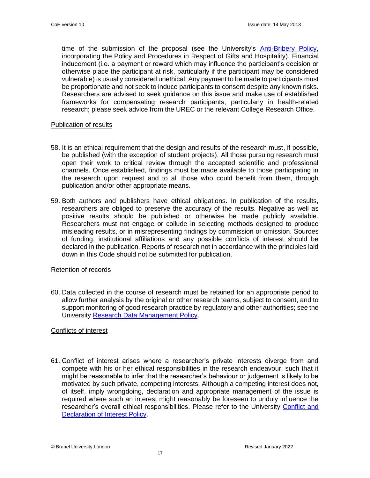time of the submission of the proposal (see the University's [Anti-Bribery Policy,](http://www.brunel.ac.uk/about/documents/pdf/anti-bribery-policy.pdf) incorporating the Policy and Procedures in Respect of Gifts and Hospitality). Financial inducement (i.e. a payment or reward which may influence the participant's decision or otherwise place the participant at risk, particularly if the participant may be considered vulnerable) is usually considered unethical. Any payment to be made to participants must be proportionate and not seek to induce participants to consent despite any known risks. Researchers are advised to seek guidance on this issue and make use of established frameworks for compensating research participants, particularly in health-related research; please seek advice from the UREC or the relevant College Research Office.

#### <span id="page-16-0"></span>Publication of results

- 58. It is an ethical requirement that the design and results of the research must, if possible, be published (with the exception of student projects). All those pursuing research must open their work to critical review through the accepted scientific and professional channels. Once established, findings must be made available to those participating in the research upon request and to all those who could benefit from them, through publication and/or other appropriate means.
- 59. Both authors and publishers have ethical obligations. In publication of the results, researchers are obliged to preserve the accuracy of the results. Negative as well as positive results should be published or otherwise be made publicly available. Researchers must not engage or collude in selecting methods designed to produce misleading results, or in misrepresenting findings by commission or omission. Sources of funding, institutional affiliations and any possible conflicts of interest should be declared in the publication. Reports of research not in accordance with the principles laid down in this Code should not be submitted for publication.

#### <span id="page-16-1"></span>Retention of records

60. Data collected in the course of research must be retained for an appropriate period to allow further analysis by the original or other research teams, subject to consent, and to support monitoring of good research practice by regulatory and other authorities; see the University [Research Data Management Policy.](http://www.brunel.ac.uk/about/documents/pdf/RDM-Policy.pdf)

#### <span id="page-16-2"></span>Conflicts of interest

61. Conflict of interest arises where a researcher's private interests diverge from and compete with his or her ethical responsibilities in the research endeavour, such that it might be reasonable to infer that the researcher's behaviour or judgement is likely to be motivated by such private, competing interests. Although a competing interest does not, of itself, imply wrongdoing, declaration and appropriate management of the issue is required where such an interest might reasonably be foreseen to unduly influence the researcher's overall ethical responsibilities. Please refer to the University [Conflict and](https://students.brunel.ac.uk/documents/Policies/conflict-and-declaration-of-interest-policy-november-2020.pdf)  [Declaration of Interest Policy.](https://students.brunel.ac.uk/documents/Policies/conflict-and-declaration-of-interest-policy-november-2020.pdf)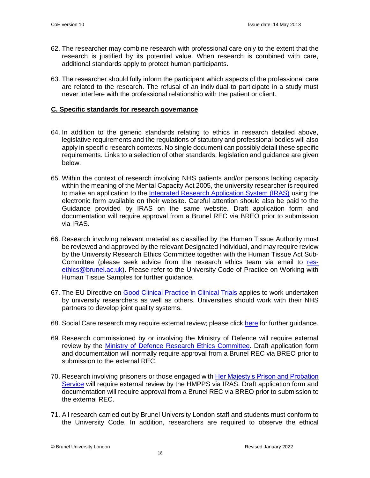- 62. The researcher may combine research with professional care only to the extent that the research is justified by its potential value. When research is combined with care, additional standards apply to protect human participants.
- 63. The researcher should fully inform the participant which aspects of the professional care are related to the research. The refusal of an individual to participate in a study must never interfere with the professional relationship with the patient or client.

# <span id="page-17-0"></span>**C. Specific standards for research governance**

- 64. In addition to the generic standards relating to ethics in research detailed above, legislative requirements and the regulations of statutory and professional bodies will also apply in specific research contexts. No single document can possibly detail these specific requirements. Links to a selection of other standards, legislation and guidance are given below.
- 65. Within the context of research involving NHS patients and/or persons lacking capacity within the meaning of the Mental Capacity Act 2005, the university researcher is required to make an application to the [Integrated Research Application System \(IRAS\)](http://www.myresearchproject.org.uk/) using the electronic form available on their website. Careful attention should also be paid to the Guidance provided by IRAS on the same website. Draft application form and documentation will require approval from a Brunel REC via BREO prior to submission via IRAS.
- 66. Research involving relevant material as classified by the Human Tissue Authority must be reviewed and approved by the relevant Designated Individual, and may require review by the University Research Ethics Committee together with the Human Tissue Act Sub-Committee (please seek advice from the research ethics team via email to [res](mailto:res-ethics@brunel.ac.uk)[ethics@brunel.ac.uk\)](mailto:res-ethics@brunel.ac.uk). Please refer to the University Code of Practice on Working with Human Tissue Samples for further guidance.
- 67. The EU Directive on [Good Clinical Practice in Clinical Trials](https://www.gov.uk/guidance/good-clinical-practice-for-clinical-trials) applies to work undertaken by university researchers as well as others. Universities should work with their NHS partners to develop joint quality systems.
- 68. Social Care research may require external review; please click [here](https://www.hra.nhs.uk/planning-and-improving-research/policies-standards-legislation/social-care-research/) for further guidance.
- 69. Research commissioned by or involving the Ministry of Defence will require external review by the [Ministry of Defence Research Ethics Committee.](https://www.gov.uk/government/groups/ministry-of-defence-research-ethics-committees) Draft application form and documentation will normally require approval from a Brunel REC via BREO prior to submission to the external REC.
- 70. Research involving prisoners or those engaged with Her Majesty's Prison and Probation [Service](https://www.gov.uk/government/organisations/her-majestys-prison-and-probation-service/about/research) will require external review by the HMPPS via IRAS. Draft application form and documentation will require approval from a Brunel REC via BREO prior to submission to the external REC.
- 71. All research carried out by Brunel University London staff and students must conform to the University Code. In addition, researchers are required to observe the ethical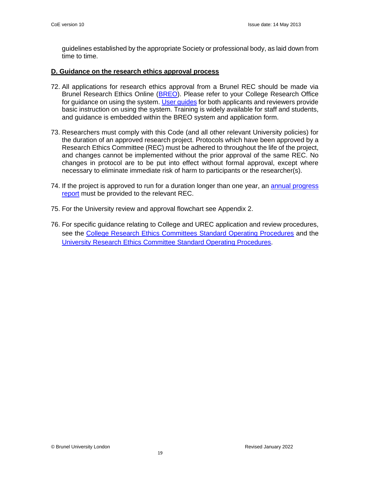guidelines established by the appropriate Society or professional body, as laid down from time to time.

# **D. Guidance on the research ethics approval process**

- 72. All applications for research ethics approval from a Brunel REC should be made via Brunel Research Ethics Online [\(BREO\)](https://breo.brunel.ac.uk/Account/Login). Please refer to your College Research Office for guidance on using the system. User quides for both applicants and reviewers provide basic instruction on using the system. Training is widely available for staff and students, and guidance is embedded within the BREO system and application form.
- 73. Researchers must comply with this Code (and all other relevant University policies) for the duration of an approved research project. Protocols which have been approved by a Research Ethics Committee (REC) must be adhered to throughout the life of the project, and changes cannot be implemented without the prior approval of the same REC. No changes in protocol are to be put into effect without formal approval, except where necessary to eliminate immediate risk of harm to participants or the researcher(s).
- 74. If the project is approved to run for a duration longer than one year, an [annual progress](https://intra.brunel.ac.uk/m/UREC/_layouts/15/WopiFrame.aspx?sourcedoc=%7b0DAAF3A7-B301-4740-8AE9-B2E80F3DCB31%7d&file=REC%20Progress%20Report%20Guidelines%20and%20pro%20forma.docx&action=default)  [report](https://intra.brunel.ac.uk/m/UREC/_layouts/15/WopiFrame.aspx?sourcedoc=%7b0DAAF3A7-B301-4740-8AE9-B2E80F3DCB31%7d&file=REC%20Progress%20Report%20Guidelines%20and%20pro%20forma.docx&action=default) must be provided to the relevant REC.
- 75. For the University review and approval flowchart see Appendix 2.
- 76. For specific guidance relating to College and UREC application and review procedures, see the [College Research Ethics Committees Standard Operating Procedures](https://intra.brunel.ac.uk/m/UREC/_layouts/15/WopiFrame.aspx?sourcedoc=%7b13E5A611-D881-4A5B-83D3-92BA3021F876%7d&file=College%20Research%20Ethics%20Committees%20SOPs_version%207.pdf&action=default) and the [University Research Ethics Committee Standard Operating Procedures.](https://intra.brunel.ac.uk/m/UREC/_layouts/15/WopiFrame.aspx?sourcedoc=%7bD4955CCE-579A-4F46-AFAF-853589830FA3%7d&file=UREC%20Standard%20Operating%20Procedures_Revised_Approved.pdf&action=default)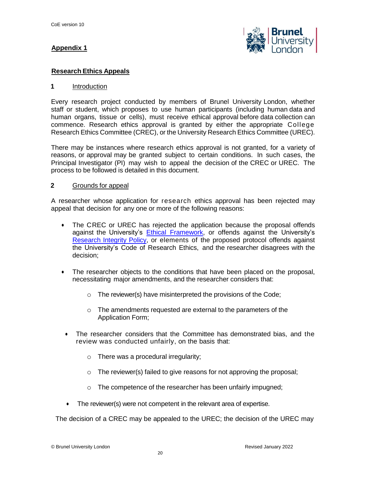# **Appendix 1**



# **Research Ethics Appeals**

# **1** Introduction

Every research project conducted by members of Brunel University London, whether staff or student, which proposes to use human participants (including human data and human organs, tissue or cells), must receive ethical approval before data collection can commence. Research ethics approval is granted by either the appropriate College Research Ethics Committee (CREC), or the University Research Ethics Committee (UREC).

There may be instances where research ethics approval is not granted, for a variety of reasons, or approval may be granted subject to certain conditions. In such cases, the Principal Investigator (PI) may wish to appeal the decision of the CREC or UREC. The process to be followed is detailed in this document.

# **2** Grounds for appeal

A researcher whose application for research ethics approval has been rejected may appeal that decision for any one or more of the following reasons:

- The CREC or UREC has rejected the application because the proposal offends against the University's Ethical [Framework,](https://www.brunel.ac.uk/about/documents/pdf/BrunelUniversityEthicalFramework2012.pdf) or offends against the University's [Research Integrity Policy,](https://www.brunel.ac.uk/research/Research-Integrity/home) or elements of the proposed protocol offends against the University's Code of Research Ethics, and the researcher disagrees with the decision;
- The researcher objects to the conditions that have been placed on the proposal, necessitating major amendments, and the researcher considers that:
	- o The reviewer(s) have misinterpreted the provisions of the Code;
	- o The amendments requested are external to the parameters of the Application Form;
- The researcher considers that the Committee has demonstrated bias, and the review was conducted unfairly, on the basis that:
	- o There was a procedural irregularity;
	- o The reviewer(s) failed to give reasons for not approving the proposal;
	- o The competence of the researcher has been unfairly impugned;
- The reviewer(s) were not competent in the relevant area of expertise.

The decision of a CREC may be appealed to the UREC; the decision of the UREC may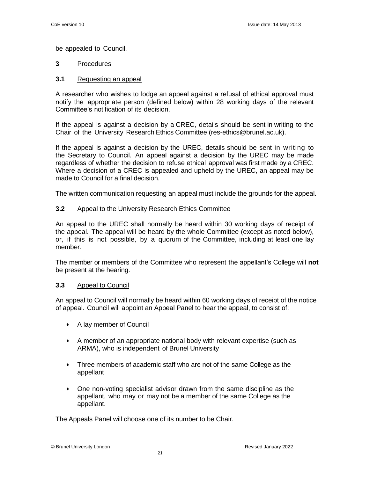be appealed to Council.

# **3** Procedures

# **3.1** Requesting an appeal

A researcher who wishes to lodge an appeal against a refusal of ethical approval must notify the appropriate person (defined below) within 28 working days of the relevant Committee's notification of its decision.

If the appeal is against a decision by a CREC, details should be sent in writing to the Chair of the University Research Ethics Committee (res-ethics@brunel.ac.uk).

If the appeal is against a decision by the UREC, details should be sent in writing to the Secretary to Council. An appeal against a decision by the UREC may be made regardless of whether the decision to refuse ethical approval was first made by a CREC. Where a decision of a CREC is appealed and upheld by the UREC, an appeal may be made to Council for a final decision.

The written communication requesting an appeal must include the grounds for the appeal.

# **3.2** Appeal to the University Research Ethics Committee

An appeal to the UREC shall normally be heard within 30 working days of receipt of the appeal. The appeal will be heard by the whole Committee (except as noted below), or, if this is not possible, by a quorum of the Committee, including at least one lay member.

The member or members of the Committee who represent the appellant's College will **not** be present at the hearing.

#### **3.3** Appeal to Council

An appeal to Council will normally be heard within 60 working days of receipt of the notice of appeal. Council will appoint an Appeal Panel to hear the appeal, to consist of:

- A lay member of Council
- A member of an appropriate national body with relevant expertise (such as ARMA), who is independent of Brunel University
- Three members of academic staff who are not of the same College as the appellant
- One non-voting specialist advisor drawn from the same discipline as the appellant, who may or may not be a member of the same College as the appellant.

The Appeals Panel will choose one of its number to be Chair.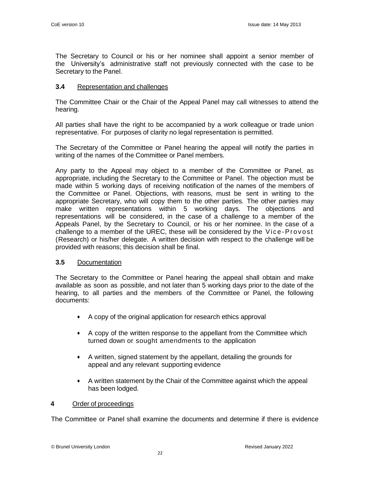The Secretary to Council or his or her nominee shall appoint a senior member of the University's administrative staff not previously connected with the case to be Secretary to the Panel.

# **3.4** Representation and challenges

The Committee Chair or the Chair of the Appeal Panel may call witnesses to attend the hearing.

All parties shall have the right to be accompanied by a work colleague or trade union representative. For purposes of clarity no legal representation is permitted.

The Secretary of the Committee or Panel hearing the appeal will notify the parties in writing of the names of the Committee or Panel members.

Any party to the Appeal may object to a member of the Committee or Panel, as appropriate, including the Secretary to the Committee or Panel. The objection must be made within 5 working days of receiving notification of the names of the members of the Committee or Panel. Objections, with reasons, must be sent in writing to the appropriate Secretary, who will copy them to the other parties. The other parties may make written representations within 5 working days. The objections and representations will be considered, in the case of a challenge to a member of the Appeals Panel, by the Secretary to Council, or his or her nominee. In the case of a challenge to a member of the UREC, these will be considered by the Vice-Provost (Research) or his/her delegate. A written decision with respect to the challenge will be provided with reasons; this decision shall be final.

#### **3.5** Documentation

The Secretary to the Committee or Panel hearing the appeal shall obtain and make available as soon as possible, and not later than 5 working days prior to the date of the hearing, to all parties and the members of the Committee or Panel, the following documents:

- A copy of the original application for research ethics approval
- A copy of the written response to the appellant from the Committee which turned down or sought amendments to the application
- A written, signed statement by the appellant, detailing the grounds for appeal and any relevant supporting evidence
- A written statement by the Chair of the Committee against which the appeal has been lodged.

#### **4** Order of proceedings

The Committee or Panel shall examine the documents and determine if there is evidence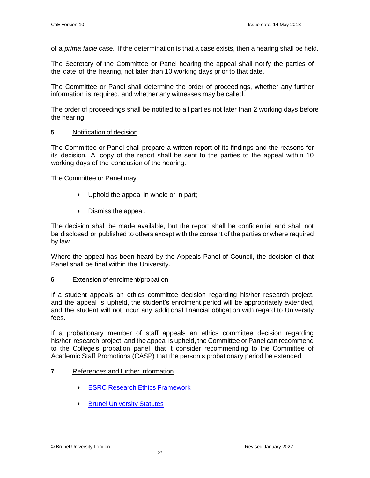of a *prima facie* case. If the determination is that a case exists, then a hearing shall be held.

The Secretary of the Committee or Panel hearing the appeal shall notify the parties of the date of the hearing, not later than 10 working days prior to that date.

The Committee or Panel shall determine the order of proceedings, whether any further information is required, and whether any witnesses may be called.

The order of proceedings shall be notified to all parties not later than 2 working days before the hearing.

# **5** Notification of decision

The Committee or Panel shall prepare a written report of its findings and the reasons for its decision. A copy of the report shall be sent to the parties to the appeal within 10 working days of the conclusion of the hearing.

The Committee or Panel may:

- Uphold the appeal in whole or in part;
- Dismiss the appeal.

The decision shall be made available, but the report shall be confidential and shall not be disclosed or published to others except with the consent of the parties or where required by law.

Where the appeal has been heard by the Appeals Panel of Council, the decision of that Panel shall be final within the University.

#### **6** Extension of enrolment/probation

If a student appeals an ethics committee decision regarding his/her research project, and the appeal is upheld, the student's enrolment period will be appropriately extended, and the student will not incur any additional financial obligation with regard to University fees.

If a probationary member of staff appeals an ethics committee decision regarding his/her research project, and the appeal is upheld, the Committee or Panel can recommend to the College's probation panel that it consider recommending to the Committee of Academic Staff Promotions (CASP) that the person's probationary period be extended.

# **7** References and further information

- ESRC Research Ethics [Framework](https://www.ukri.org/councils/esrc/guidance-for-applicants/research-ethics-guidance/framework-for-research-ethics/)
- **Brunel [University](http://www.brunel.ac.uk/about/documents/pdf/statutes.pdf) Statutes**